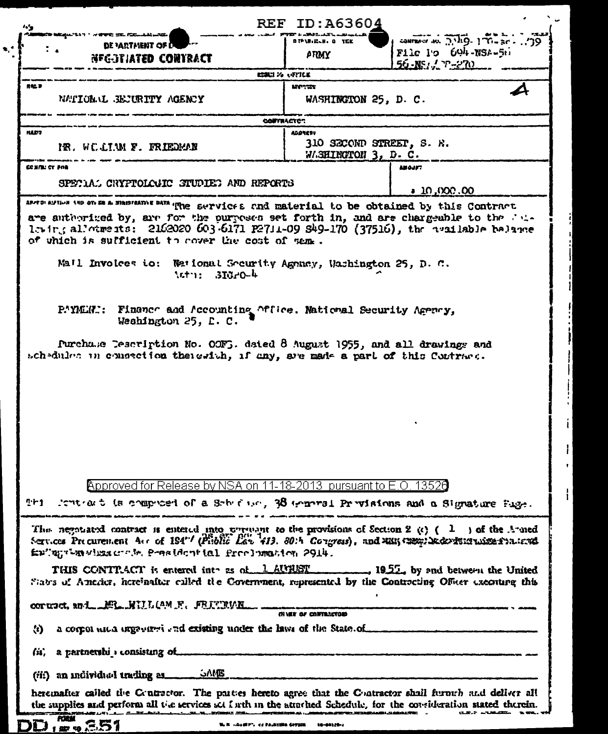| <b>REF ID: A63604</b><br>$\mathbf{r}$                                                                                                                                                                                                                                                                                                                                                                                                              |                                            |                                                              |
|----------------------------------------------------------------------------------------------------------------------------------------------------------------------------------------------------------------------------------------------------------------------------------------------------------------------------------------------------------------------------------------------------------------------------------------------------|--------------------------------------------|--------------------------------------------------------------|
| ל <b>ש שני</b> קנג'א ז' א <b>איפי</b> ל מצ. ו' הוא נאומה לא<br>DE PARTAIENT OF U                                                                                                                                                                                                                                                                                                                                                                   | OTPIRICLH. O TEE                           | $29$ annual $3\sqrt{10}$ $\sqrt{10}$ $\sqrt{10}$ $\sqrt{10}$ |
| NFG-3TIATED CONTRACT                                                                                                                                                                                                                                                                                                                                                                                                                               | ATIMY                                      | File io 604-NSA-511                                          |
| <u>56 -NS / YP-270 -</u><br>にまい ス いれにこ                                                                                                                                                                                                                                                                                                                                                                                                             |                                            |                                                              |
| <b>HALD</b><br>NATIONAL BEJURITY AGENCY                                                                                                                                                                                                                                                                                                                                                                                                            | MOTOR.<br>WASHINGTON 25, D. C.             |                                                              |
| <b>CONTRACTOR</b>                                                                                                                                                                                                                                                                                                                                                                                                                                  |                                            |                                                              |
| <b>NAD7</b><br>IR. WOLLIAM F. FRIEDMAN                                                                                                                                                                                                                                                                                                                                                                                                             | <b>ALDREST</b><br>310 SECOND STREET, S. R. |                                                              |
|                                                                                                                                                                                                                                                                                                                                                                                                                                                    | WASHINGTON 3, D. C.                        |                                                              |
| COMPLICT FOR                                                                                                                                                                                                                                                                                                                                                                                                                                       | <b>ABOJFT</b>                              |                                                              |
| SPECIAL CRYPTOLOGIC STUDIED AND REPORTS                                                                                                                                                                                                                                                                                                                                                                                                            | 10,000,00                                  |                                                              |
| are authorized by, are for the purposes set forth in, and are chargeable to the fit-<br>1. in, allotments: 2162020 603-6171 P2711-09 S49-170 (37516), the available belance<br>of which is sufficient to cover the cost of sem.<br>Mail Involces to: Weitonal Security Agency, Washington 25, D. C.<br>$\pi$ $\sim$ $\frac{3}{2}$ $\pi$                                                                                                            |                                            |                                                              |
| P.MER.: Finance and Accounting Office. National Security Agency,<br>Weshington 25, L. C.<br>Purchase Tescription No. OOFG. dated 8 August 1955, and all drawings and<br>schedules in consection theigrich, if any, are made a part of this Contract.                                                                                                                                                                                               |                                            |                                                              |
| Approved for Release by NSA on 11-18-2013 pursuant to E.O. 13520<br>This feature to be compared of a Sobietion, 38 termined Provisions and a Signature Page.<br>The negotiated contract is entered into prevent to the provisions of Section 2 (c) $(1 \cdot)$ of the A-med<br>Services Precurement Acr of 194"/ (Priblic Law 413, 80th Congress), and MM Congribe developments available to<br>Enlight-mailescrib. Peachential freelunation 2914. |                                            |                                                              |
| THIS CONTRACT is entered into as of 1 AUTIST 1952, by and between the United<br>States of America, hereinafter culled the Covernment, represented by the Contracting Officer executing this<br>corusct, and MR. WILLIAM F. FEITINNE.                                                                                                                                                                                                               |                                            |                                                              |
| (N VER OF CONTRACTOR)                                                                                                                                                                                                                                                                                                                                                                                                                              |                                            |                                                              |
| a corpor and argament and existing under the laws of the State of<br>$\langle i \rangle$                                                                                                                                                                                                                                                                                                                                                           |                                            |                                                              |
| (ii) a partnership consisting of                                                                                                                                                                                                                                                                                                                                                                                                                   |                                            |                                                              |
| (iii) an individual trading as in the SAME                                                                                                                                                                                                                                                                                                                                                                                                         |                                            |                                                              |
| heremafter called the Coutractor. The parties hereto agree that the Contractor shall furnish and deliver all<br>the supplies and perform all the services set forth in the attached Schedule, for the consideration stated therein.                                                                                                                                                                                                                |                                            |                                                              |
| D. 351<br>N. 2 2. (2 P", et PA, 2320 Crysse 10-02129-1                                                                                                                                                                                                                                                                                                                                                                                             |                                            |                                                              |

f ľ

 $\mathbf{I}$ 

 $\mathbf{i}$ 

 $\mathbf{I}$  $\bar{\mathbf{r}}$  :

 $\mathbf{I}$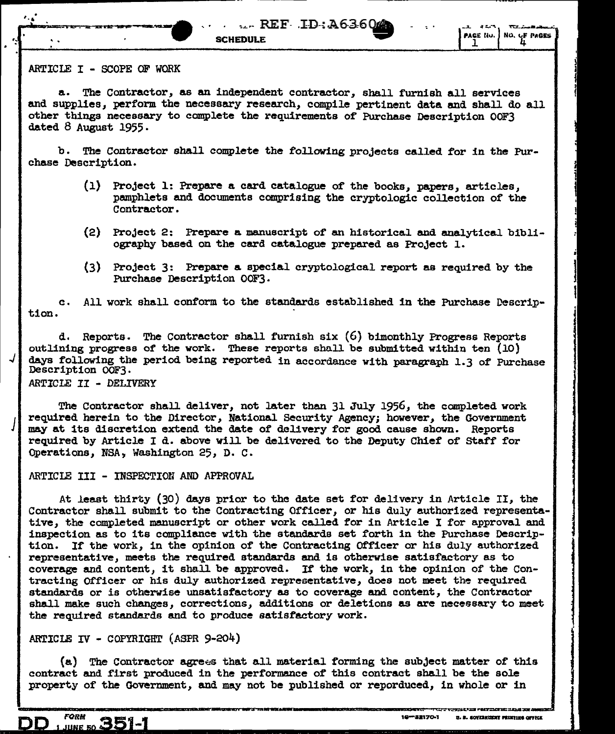## ARTICLE I - SCOPE OF WORK

·-

.J

 $\mathcal{J}_{\mathbf{I}}$ 

a. The Contractor, as an independent contractor, shall furnish all services and supplies, perform the necessary research, compile pertinent data and shall do all other things necessary to complete the requirements of Purchase Description OOF3 dated 8 August 1955·

b. The Contractor shall complete the following projects called for in the Purchase Description.

- (1) Project 1: Prepare a card catalogue of the books, papers, articles, pmnphlets and documents comprising the cryptologic collection of the Contractor.
- (2) Project 2: Prepare a manuscript of an historical and analytical bibliography based on the card catalogue prepared as Project 1.
- (3) Project 3: Prepare a special cryptological report as required by the Purchase Description OOF3·

tion. c. *All* work shall conform to the standards established in the Purchase Descrip-

d. Reports. The Contractor shall furnish six (6) bimonthly Progress Reports outlining progress of the work. These reports shall be submitted within ten (10) days following the period being reported in accordance with paragraph 1.3 of Purchase Description OOF3.

ARTICLE II - DELIVERY

The Contractor shall deliver, not later than 31 July 1956, the completed work required herein to the Director, National Security Agency; however, the Government may at its discretion extend the date of delivery for good cause shown. Reports required by Article I d. above will be delivered to the Deputy Chief of staff for Operations, NSA, Washington 25, D. C.

## ARTICLE III - INSPECTION AND APPROVAL

At least thirty (30) days prior to the date set for delivery in Article II, the Contractor shall submit to the Contracting Officer, or his duly authorized representative, the completed manuscript or other work called for in Article I for approval and inspection as to its compliance with the standards set forth in the Purchase Description. If the work, in the opinion of the Contracting Officer or his duly authorized representative, meets the required standards and is otherwise satisfactory as to coverage and content, it shall be approved. If the work, in the opinion of the Contracting Officer or his duly authorized representative, does not meet the required standards or is otherwise unsatisfactory as to coverage and content, the Contractor shall make such changes, corrections, additions or deletions as are necessary to meet the required standards and to produce satisfactory work.

ARTICLE IV - COPYRIGHT (ASPR 9-204)

(a) The Contractor agrees that all material forming the subject matter of this contract and first produced in the performance of this contract shall be the sole property of the Government, and may not be published or reporduced, in whole or in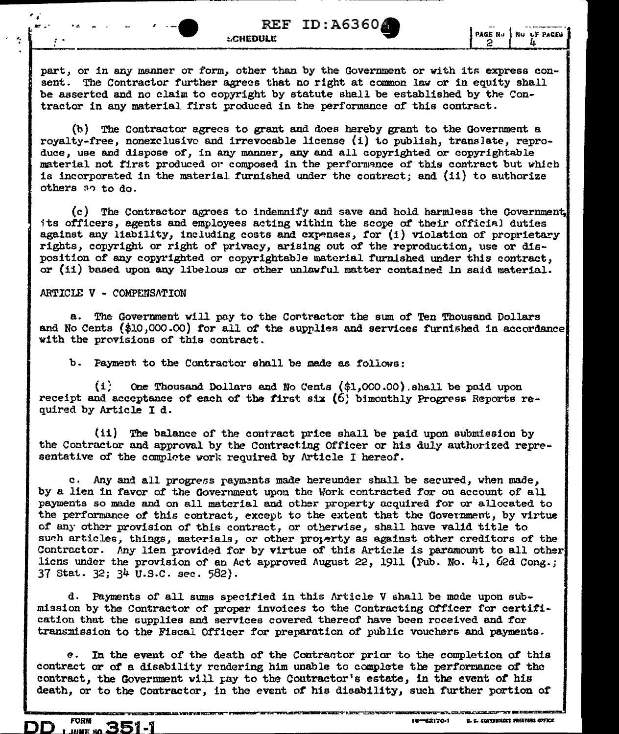part, or in any manner or form, other than by the Government or with its express consent. The Contractor further agrees that no right at common law or in equity shall be asserted and no claim to copyright by statute shall be established by the Contractor in any material first produced in the performance *or* this contract.

 $(b)$  The Contractor agrees to grant and does hereby grant to the Government a royalty-free, nonexclusive and irrevocable license {i) to publish, translate, reproduce, use and dispose of, in any manner, any and all copyrighted or copyrightable material not first produced or composed in the performance of this contract but which is incorporated in the material furnished under the contract; and (ii) to authorize others so to do.

(c) The Contractor agrees to indemnify and save and hold harmless the Government, its officers, agents and employees acting within the scope of their official duties against any liability, including costs and expenses, for  $(i)$  violation of proprietary rights, copyright or right of privacy, arising out of the reproduction, use or disposition of any copyrighted or copyrightable material furn.ished under this contract, or (ii) based upon any libelous or other unlawful matter contained in said material.

## ARTICLE V - COMPEMSATION

..

 $\cdot$  :

' *J;:* .. • • *.:.* 

a. The Government will pay to the Contractor the sum of Ten Thousand Dollars and No Cents  $(*10,000.00)$  for all of the supplies and services furnished in accordance with the provisions of this contract.

b. Payment to the Contractor shall be made as follows:

 $(i)$  One Thousand Dollars and No Cents  $(\hat{\varphi}_1, 000.00)$  shall be paid upon receipt and acceptance of each of the first six  $(6)$  bimonthly Progress Reports required by Article I d.

(ii) The balance of the contract price shall be paid upon submiesion by the Contractor and approval by the Contracting Officer or his duly authorized representative of the complete work required by Article I hereof.

c. Any and all progress rayments made hereunder shall be secured, when made, by a lien in favor of the Government upon the Work contracted for on account of all payments so made and on all material and other property acquired for or allocated to the performance of this contract, except to the extent that the Government, by virtue of any other provision of this contract, or otherwise, shall have valid title to such articles, things, materials, or other property as against other creditors of the Contractor. Any lien provided for by virtue of this Article is paramount to all other liens under the provision of an Act approved August 22, 1911 (Pub. No. 41, 62d Cong.; 37 Stat. 32; 34 U.S.C. sec. 582).

d. Payments of all sums specified in this Article V shall be made upon submission by the Contractor of proper invoices to the Contracting Officer for certification that the GUpplies and services covered thereof have been received and for transmission to the Fiscal Officer for preparation of public vouchers and payments.

e. In the event of the death of the Contractor prior to the completion of this contrect or of a disability rendering him unable to complete the performance of the contract, the Government will pay to the Contractor's estate, in the event of his death, or to the Contractor, in the event of his disability, such further portion of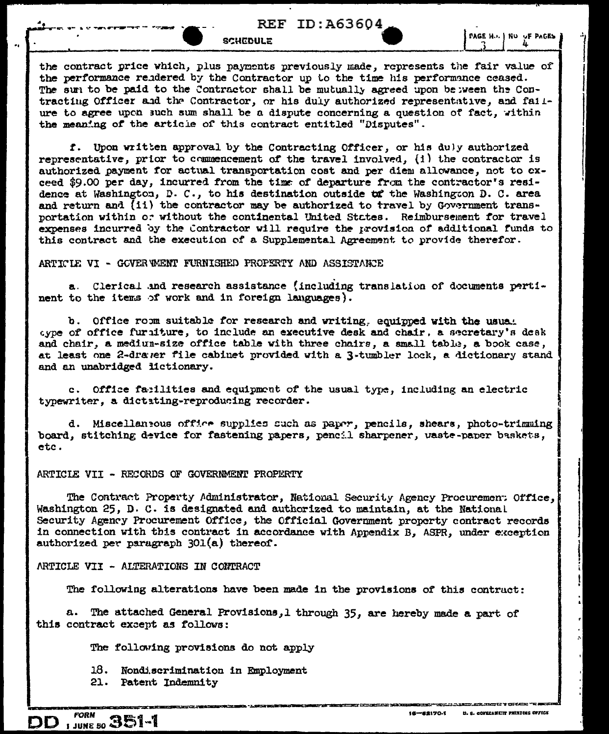# **REF ID: A63604**

**SCHEDULE** 

PAGE H.J. | NU UF PAGES

the contract price which, plus payments previously made, represents the fair value of the performance rendered by the Contractor up to the time his performance ceased. The sum to be paid to the Contractor shall be mutually agreed upon between the Contracting Officer and the Contractor, or his duly authorized representative, and failure to agree upon such sum shall be a dispute concerning a question of fact, within the meaning of the article of this contract entitled "Disputes".

f. Upon written approval by the Contracting Officer, or his duly authorized representative, prior to commencement of the travel involved. (i) the contractor is authorized payment for actual transportation cost and per diem allowance, not to exceed \$9.00 per day, incurred from the time of departure from the contractor's residence at Washington, D. C., to his destination outside to the Washington D. C. area and return and (ii) the contractor may be authorized to travel by Government transportation within or without the continental United States. Reimbursement for travel expenses incurred by the Contractor will require the provision of additional funds to this contract and the execution of a Supplemental Agreement to provide therefor.

ARTICLE VI - GOVER WENT FURNISHED PROPERTY AND ASSISTANCE

a. Clerical and research assistance (including translation of documents pertinent to the items of work and in foreign languages).

b. Office room suitable for research and writing, equipped with the usual aype of office furaiture, to include an executive desk and chair, a secretary's desk and chair, a mediun-size office table with three chairs, a small table, a book case, at least one 2-drawer file cabinet provided with a 3-tumbler lock, a dictionary stand and an unabridged lictionary.

c. Office facilities and equipment of the usual type, including an electric typewriter, a dictating-reproducing recorder.

d. Miscellaneous office supplies such as paper, pencils, shears, photo-trimming board, stitching device for fastening papers, pencil sharpener, vaste-paper baskets, etc.

#### ARTICIE VII - RECORDS OF GOVERNMENT PROPERTY

The Contract Property Administrator, National Security Agency Procuremen: Office, Washington 25, D. C. is designated and authorized to maintain, at the National Security Agency Procurement Office, the Official Government property contract records in connection with this contract in accordance with Appendix B, ASPR, under exception authorized per paragraph 301(a) thereof.

ARTICLE VII - ALTERATIONS IN CONTRACT

The following alterations have been made in the provisions of this contract:

 $a_{\cdot}$ The attached General Provisions, 1 through 35, are hereby made a part of this contract except as follows:

The following provisions do not apply

18. Nondiscrimination in Employment

21. Patent Indemnity